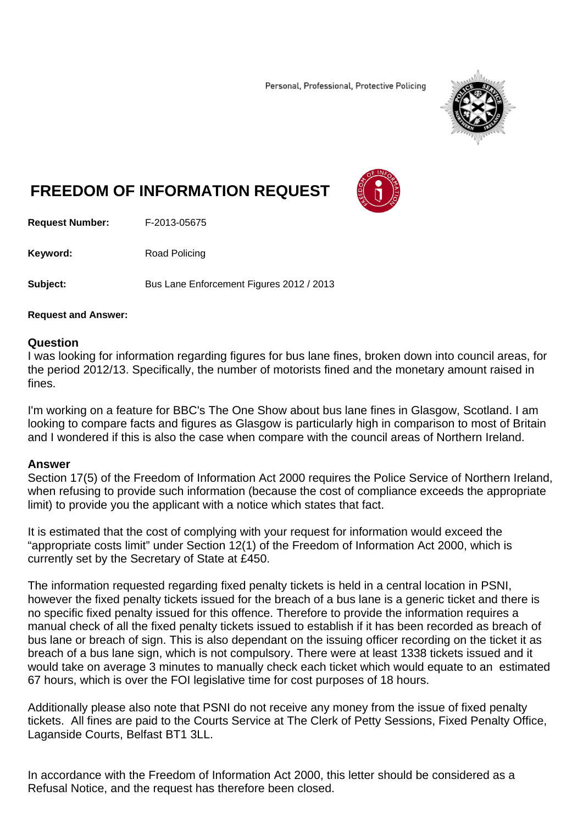Personal, Professional, Protective Policing



## **FREEDOM OF INFORMATION REQUEST**



**Request Number:** F-2013-05675

**Keyword:** Road Policing

**Subject:** Bus Lane Enforcement Figures 2012 / 2013

## **Request and Answer:**

## **Question**

I was looking for information regarding figures for bus lane fines, broken down into council areas, for the period 2012/13. Specifically, the number of motorists fined and the monetary amount raised in fines.

I'm working on a feature for BBC's The One Show about bus lane fines in Glasgow, Scotland. I am looking to compare facts and figures as Glasgow is particularly high in comparison to most of Britain and I wondered if this is also the case when compare with the council areas of Northern Ireland.

## **Answer**

Section 17(5) of the Freedom of Information Act 2000 requires the Police Service of Northern Ireland, when refusing to provide such information (because the cost of compliance exceeds the appropriate limit) to provide you the applicant with a notice which states that fact.

It is estimated that the cost of complying with your request for information would exceed the "appropriate costs limit" under Section 12(1) of the Freedom of Information Act 2000, which is currently set by the Secretary of State at £450.

The information requested regarding fixed penalty tickets is held in a central location in PSNI, however the fixed penalty tickets issued for the breach of a bus lane is a generic ticket and there is no specific fixed penalty issued for this offence. Therefore to provide the information requires a manual check of all the fixed penalty tickets issued to establish if it has been recorded as breach of bus lane or breach of sign. This is also dependant on the issuing officer recording on the ticket it as breach of a bus lane sign, which is not compulsory. There were at least 1338 tickets issued and it would take on average 3 minutes to manually check each ticket which would equate to an estimated 67 hours, which is over the FOI legislative time for cost purposes of 18 hours.

Additionally please also note that PSNI do not receive any money from the issue of fixed penalty tickets. All fines are paid to the Courts Service at The Clerk of Petty Sessions, Fixed Penalty Office, Laganside Courts, Belfast BT1 3LL.

In accordance with the Freedom of Information Act 2000, this letter should be considered as a Refusal Notice, and the request has therefore been closed.